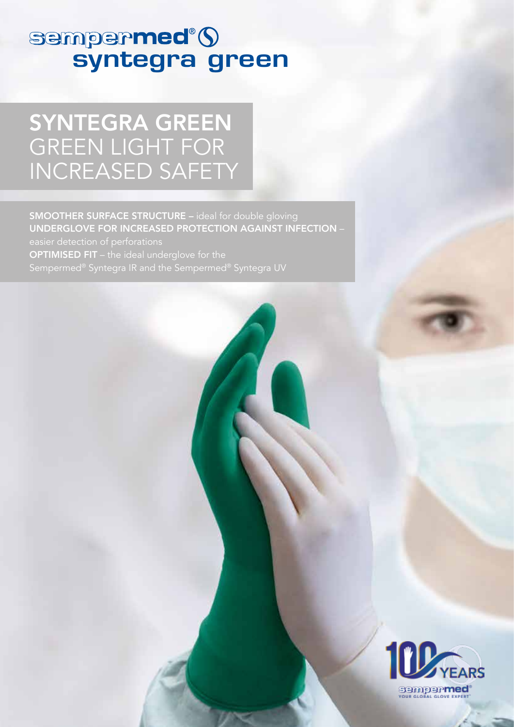# sempermed®()<br>syntegra green

### SYNTEGRA GREEN GREEN LIGHT FOR INCREASED SAFETY

SMOOTHER SURFACE STRUCTURE – ideal for double gloving UNDERGLOVE FOR INCREASED PROTECTION AGAINST INFECTION – **OPTIMISED FIT** – the ideal underglove for the Sempermed® Syntegra IR and the Sempermed® Syntegra UV